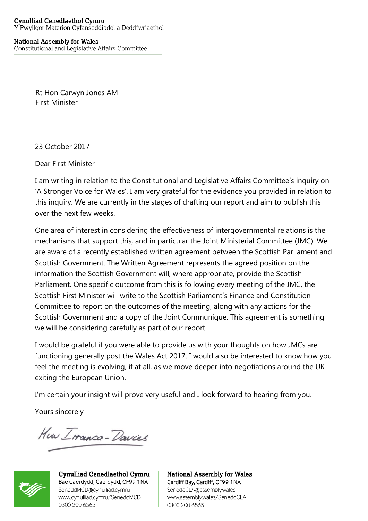## **National Assembly for Wales** Constitutional and Legislative Affairs Committee

Rt Hon Carwyn Jones AM First Minister

23 October 2017

Dear First Minister

I am writing in relation to the Constitutional and Legislative Affairs Committee's inquiry on 'A Stronger Voice for Wales'. I am very grateful for the evidence you provided in relation to this inquiry. We are currently in the stages of drafting our report and aim to publish this over the next few weeks.

One area of interest in considering the effectiveness of intergovernmental relations is the mechanisms that support this, and in particular the Joint Ministerial Committee (JMC). We are aware of a recently established written agreement between the Scottish Parliament and Scottish Government. The Written Agreement represents the agreed position on the information the Scottish Government will, where appropriate, provide the Scottish Parliament. One specific outcome from this is following every meeting of the JMC, the Scottish First Minister will write to the Scottish Parliament's Finance and Constitution Committee to report on the outcomes of the meeting, along with any actions for the Scottish Government and a copy of the Joint Communique. This agreement is something we will be considering carefully as part of our report.

I would be grateful if you were able to provide us with your thoughts on how JMCs are functioning generally post the Wales Act 2017. I would also be interested to know how you feel the meeting is evolving, if at all, as we move deeper into negotiations around the UK exiting the European Union.

I'm certain your insight will prove very useful and I look forward to hearing from you.

Yours sincerely

How Iranca-Davies



Cynulliad Cenedlaethol Cymru Bae Caerdydd, Caerdydd, CF99 1NA SeneddMCD@cynulliad.cymru www.cynulliad.cymru/SeneddMCD 0300 200 6565

**National Assembly for Wales** Cardiff Bay, Cardiff, CF99 1NA SeneddCLA@assembly.wales www.assembly.wales/SeneddCLA 0300 200 6565